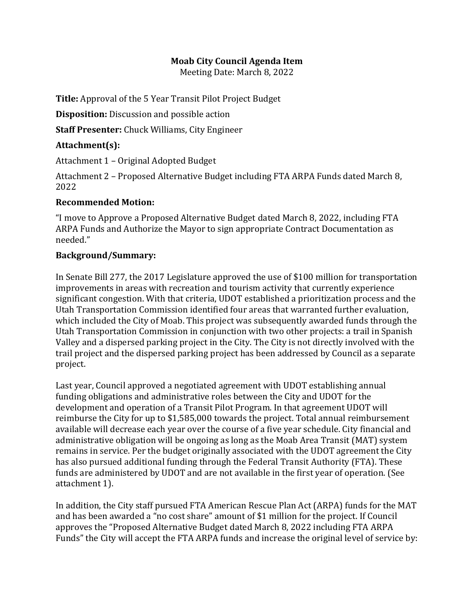## **Moab City Council Agenda Item**

Meeting Date: March 8, 2022

**Title:** Approval of the 5 Year Transit Pilot Project Budget

**Disposition:** Discussion and possible action

**Staff Presenter:** Chuck Williams, City Engineer

## **Attachment(s):**

Attachment 1 – Original Adopted Budget

Attachment 2 – Proposed Alternative Budget including FTA ARPA Funds dated March 8, 2022

## **Recommended Motion:**

"I move to Approve a Proposed Alternative Budget dated March 8, 2022, including FTA ARPA Funds and Authorize the Mayor to sign appropriate Contract Documentation as needed."

## **Background/Summary:**

In Senate Bill 277, the 2017 Legislature approved the use of \$100 million for transportation improvements in areas with recreation and tourism activity that currently experience significant congestion. With that criteria, UDOT established a prioritization process and the Utah Transportation Commission identified four areas that warranted further evaluation, which included the City of Moab. This project was subsequently awarded funds through the Utah Transportation Commission in conjunction with two other projects: a trail in Spanish Valley and a dispersed parking project in the City. The City is not directly involved with the trail project and the dispersed parking project has been addressed by Council as a separate project.

Last year, Council approved a negotiated agreement with UDOT establishing annual funding obligations and administrative roles between the City and UDOT for the development and operation of a Transit Pilot Program. In that agreement UDOT will reimburse the City for up to \$1,585,000 towards the project. Total annual reimbursement available will decrease each year over the course of a five year schedule. City financial and administrative obligation will be ongoing as long as the Moab Area Transit (MAT) system remains in service. Per the budget originally associated with the UDOT agreement the City has also pursued additional funding through the Federal Transit Authority (FTA). These funds are administered by UDOT and are not available in the first year of operation. (See attachment 1).

In addition, the City staff pursued FTA American Rescue Plan Act (ARPA) funds for the MAT and has been awarded a "no cost share" amount of \$1 million for the project. If Council approves the "Proposed Alternative Budget dated March 8, 2022 including FTA ARPA Funds" the City will accept the FTA ARPA funds and increase the original level of service by: